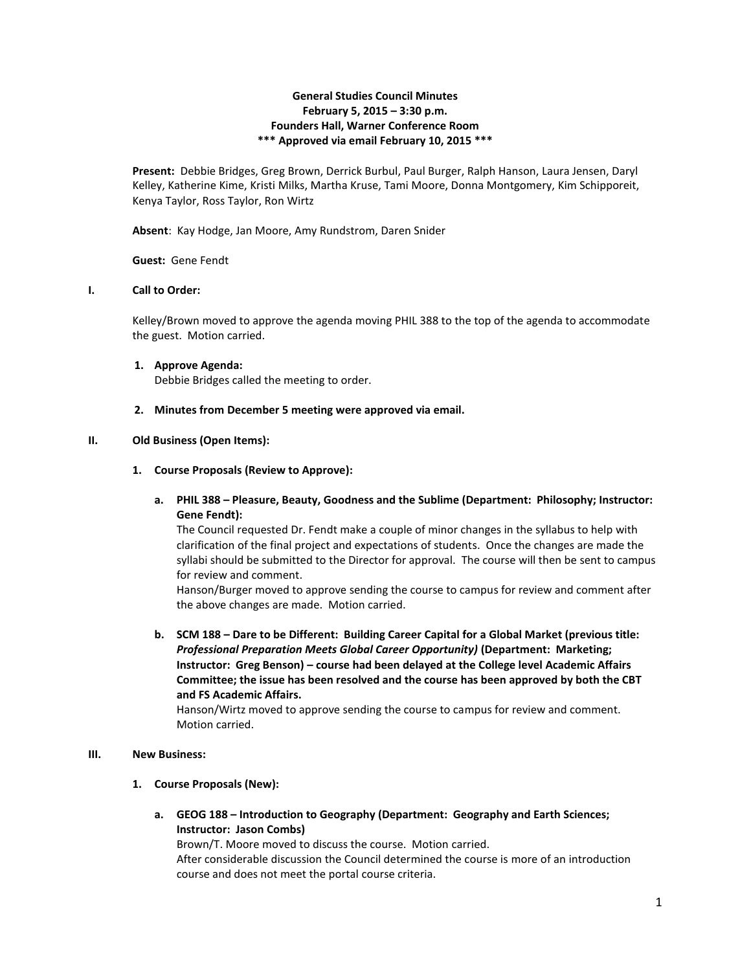# **General Studies Council Minutes February 5, 2015 – 3:30 p.m. Founders Hall, Warner Conference Room \*\*\* Approved via email February 10, 2015 \*\*\***

**Present:** Debbie Bridges, Greg Brown, Derrick Burbul, Paul Burger, Ralph Hanson, Laura Jensen, Daryl Kelley, Katherine Kime, Kristi Milks, Martha Kruse, Tami Moore, Donna Montgomery, Kim Schipporeit, Kenya Taylor, Ross Taylor, Ron Wirtz

**Absent**: Kay Hodge, Jan Moore, Amy Rundstrom, Daren Snider

**Guest:** Gene Fendt

### **I. Call to Order:**

Kelley/Brown moved to approve the agenda moving PHIL 388 to the top of the agenda to accommodate the guest. Motion carried.

- **1. Approve Agenda:** Debbie Bridges called the meeting to order.
- **2. Minutes from December 5 meeting were approved via email.**

### **II. Old Business (Open Items):**

- **1. Course Proposals (Review to Approve):**
	- **a. PHIL 388 – Pleasure, Beauty, Goodness and the Sublime (Department: Philosophy; Instructor: Gene Fendt):**

The Council requested Dr. Fendt make a couple of minor changes in the syllabus to help with clarification of the final project and expectations of students. Once the changes are made the syllabi should be submitted to the Director for approval. The course will then be sent to campus for review and comment.

Hanson/Burger moved to approve sending the course to campus for review and comment after the above changes are made. Motion carried.

**b. SCM 188 – Dare to be Different: Building Career Capital for a Global Market (previous title:**  *Professional Preparation Meets Global Career Opportunity)* **(Department: Marketing; Instructor: Greg Benson) – course had been delayed at the College level Academic Affairs Committee; the issue has been resolved and the course has been approved by both the CBT and FS Academic Affairs.**

Hanson/Wirtz moved to approve sending the course to campus for review and comment. Motion carried.

### **III. New Business:**

- **1. Course Proposals (New):**
	- **a. GEOG 188 – Introduction to Geography (Department: Geography and Earth Sciences; Instructor: Jason Combs)**

Brown/T. Moore moved to discuss the course. Motion carried. After considerable discussion the Council determined the course is more of an introduction course and does not meet the portal course criteria.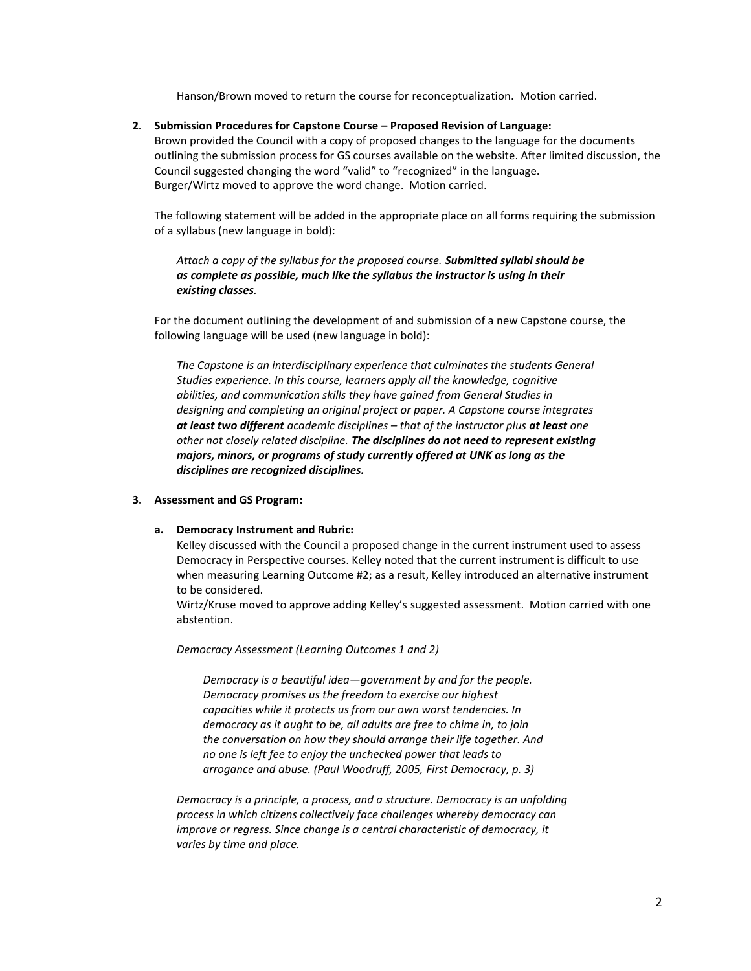Hanson/Brown moved to return the course for reconceptualization. Motion carried.

#### **2. Submission Procedures for Capstone Course – Proposed Revision of Language:**

Brown provided the Council with a copy of proposed changes to the language for the documents outlining the submission process for GS courses available on the website. After limited discussion, the Council suggested changing the word "valid" to "recognized" in the language. Burger/Wirtz moved to approve the word change. Motion carried.

The following statement will be added in the appropriate place on all forms requiring the submission of a syllabus (new language in bold):

*Attach a copy of the syllabus for the proposed course. Submitted syllabi should be as complete as possible, much like the syllabus the instructor is using in their existing classes.*

For the document outlining the development of and submission of a new Capstone course, the following language will be used (new language in bold):

*The Capstone is an interdisciplinary experience that culminates the students General Studies experience. In this course, learners apply all the knowledge, cognitive abilities, and communication skills they have gained from General Studies in designing and completing an original project or paper. A Capstone course integrates at least two different academic disciplines – that of the instructor plus at least one other not closely related discipline. The disciplines do not need to represent existing majors, minors, or programs of study currently offered at UNK as long as the disciplines are recognized disciplines.*

#### **3. Assessment and GS Program:**

#### **a. Democracy Instrument and Rubric:**

Kelley discussed with the Council a proposed change in the current instrument used to assess Democracy in Perspective courses. Kelley noted that the current instrument is difficult to use when measuring Learning Outcome #2; as a result, Kelley introduced an alternative instrument to be considered.

Wirtz/Kruse moved to approve adding Kelley's suggested assessment. Motion carried with one abstention.

*Democracy Assessment (Learning Outcomes 1 and 2)*

*Democracy is a beautiful idea—government by and for the people. Democracy promises us the freedom to exercise our highest capacities while it protects us from our own worst tendencies. In democracy as it ought to be, all adults are free to chime in, to join the conversation on how they should arrange their life together. And no one is left fee to enjoy the unchecked power that leads to arrogance and abuse. (Paul Woodruff, 2005, First Democracy, p. 3)*

*Democracy is a principle, a process, and a structure. Democracy is an unfolding process in which citizens collectively face challenges whereby democracy can improve or regress. Since change is a central characteristic of democracy, it varies by time and place.*